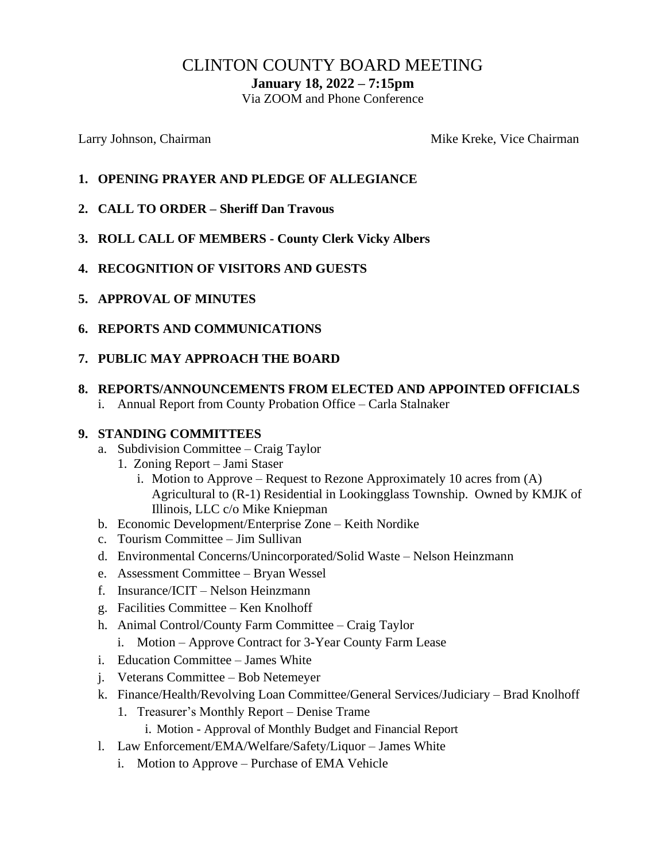# CLINTON COUNTY BOARD MEETING

**January 18, 2022 – 7:15pm**

Via ZOOM and Phone Conference

Larry Johnson, Chairman Mike Kreke, Vice Chairman Mike Kreke, Vice Chairman

- **1. OPENING PRAYER AND PLEDGE OF ALLEGIANCE**
- **2. CALL TO ORDER – Sheriff Dan Travous**
- **3. ROLL CALL OF MEMBERS - County Clerk Vicky Albers**
- **4. RECOGNITION OF VISITORS AND GUESTS**
- **5. APPROVAL OF MINUTES**
- **6. REPORTS AND COMMUNICATIONS**
- **7. PUBLIC MAY APPROACH THE BOARD**
- **8. REPORTS/ANNOUNCEMENTS FROM ELECTED AND APPOINTED OFFICIALS**
	- i. Annual Report from County Probation Office Carla Stalnaker

#### **9. STANDING COMMITTEES**

- a. Subdivision Committee Craig Taylor
	- 1. Zoning Report Jami Staser
		- i. Motion to Approve Request to Rezone Approximately 10 acres from (A) Agricultural to (R-1) Residential in Lookingglass Township. Owned by KMJK of Illinois, LLC c/o Mike Kniepman
- b. Economic Development/Enterprise Zone Keith Nordike
- c. Tourism Committee Jim Sullivan
- d. Environmental Concerns/Unincorporated/Solid Waste Nelson Heinzmann
- e. Assessment Committee Bryan Wessel
- f. Insurance/ICIT Nelson Heinzmann
- g. Facilities Committee Ken Knolhoff
- h. Animal Control/County Farm Committee Craig Taylor
	- i. Motion Approve Contract for 3-Year County Farm Lease
- i. Education Committee James White
- j. Veterans Committee Bob Netemeyer
- k. Finance/Health/Revolving Loan Committee/General Services/Judiciary Brad Knolhoff
	- 1. Treasurer's Monthly Report Denise Trame
		- i. Motion Approval of Monthly Budget and Financial Report
- l. Law Enforcement/EMA/Welfare/Safety/Liquor James White
	- i. Motion to Approve Purchase of EMA Vehicle